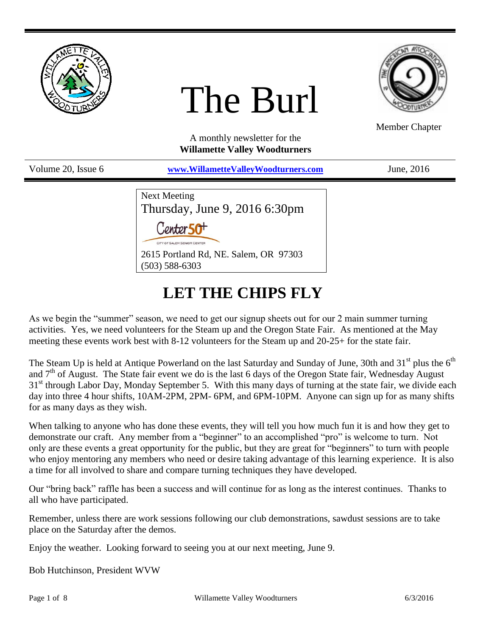

# The Burl



Member Chapter

A monthly newsletter for the **Willamette Valley Woodturners**

Volume 20, Issue 6 **[www.WillametteValleyWoodturners.com](http://www.willamettevalleywoodturners.com/)** June, 2016

Next Meeting Thursday, June 9, 2016 6:30pm Contor 50+ 2615 Portland Rd, NE. Salem, OR 97303 (503) 588-6303

# **LET THE CHIPS FLY**

As we begin the "summer" season, we need to get our signup sheets out for our 2 main summer turning activities. Yes, we need volunteers for the Steam up and the Oregon State Fair. As mentioned at the May meeting these events work best with 8-12 volunteers for the Steam up and 20-25+ for the state fair.

The Steam Up is held at Antique Powerland on the last Saturday and Sunday of June, 30th and  $31<sup>st</sup>$  plus the  $6<sup>th</sup>$ and  $7<sup>th</sup>$  of August. The State fair event we do is the last 6 days of the Oregon State fair, Wednesday August 31<sup>st</sup> through Labor Day, Monday September 5. With this many days of turning at the state fair, we divide each day into three 4 hour shifts, 10AM-2PM, 2PM- 6PM, and 6PM-10PM. Anyone can sign up for as many shifts for as many days as they wish.

When talking to anyone who has done these events, they will tell you how much fun it is and how they get to demonstrate our craft. Any member from a "beginner" to an accomplished "pro" is welcome to turn. Not only are these events a great opportunity for the public, but they are great for "beginners" to turn with people who enjoy mentoring any members who need or desire taking advantage of this learning experience. It is also a time for all involved to share and compare turning techniques they have developed.

Our "bring back" raffle has been a success and will continue for as long as the interest continues. Thanks to all who have participated.

Remember, unless there are work sessions following our club demonstrations, sawdust sessions are to take place on the Saturday after the demos.

Enjoy the weather. Looking forward to seeing you at our next meeting, June 9.

Bob Hutchinson, President WVW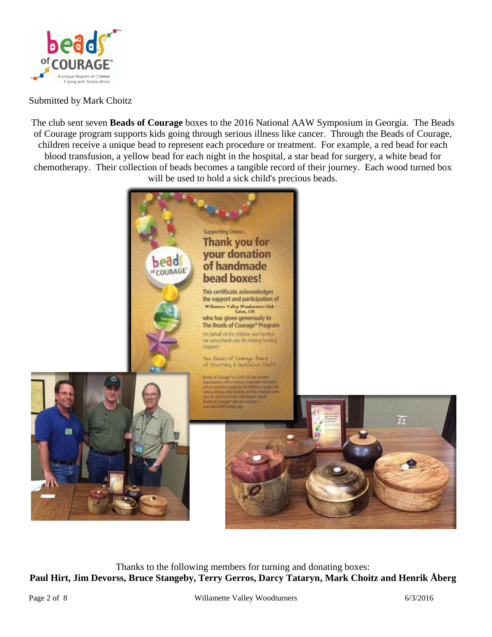

#### Submitted by Mark Choitz

The club sent seven **Beads of Courage** boxes to the 2016 National AAW Symposium in Georgia. The Beads of Courage program supports kids going through serious illness like cancer. Through the Beads of Courage, children receive a unique bead to represent each procedure or treatment. For example, a red bead for each blood transfusion, a yellow bead for each night in the hospital, a star bead for surgery, a white bead for chemotherapy. Their collection of beads becomes a tangible record of their journey. Each wood turned box will be used to hold a sick child's precious beads.



Thanks to the following members for turning and donating boxes: **Paul Hirt, Jim Devorss, Bruce Stangeby, Terry Gerros, Darcy Tataryn, Mark Choitz and Henrik Åberg**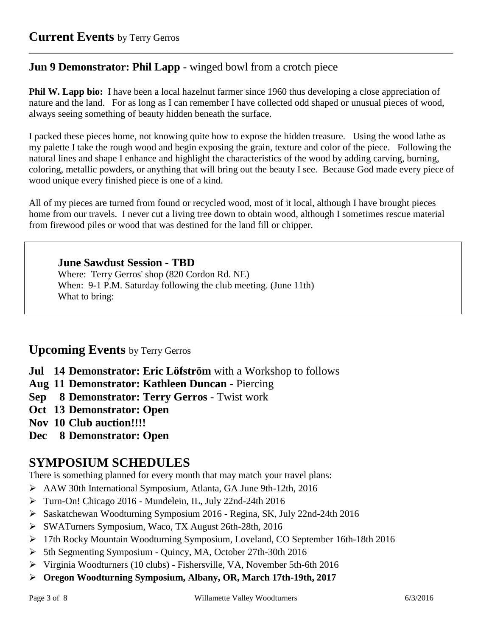## **Jun 9 Demonstrator: Phil Lapp -** winged bowl from a crotch piece

**Phil W. Lapp bio:** I have been a local hazelnut farmer since 1960 thus developing a close appreciation of nature and the land. For as long as I can remember I have collected odd shaped or unusual pieces of wood, always seeing something of beauty hidden beneath the surface.

\_\_\_\_\_\_\_\_\_\_\_\_\_\_\_\_\_\_\_\_\_\_\_\_\_\_\_\_\_\_\_\_\_\_\_\_\_\_\_\_\_\_\_\_\_\_\_\_\_\_\_\_\_\_\_\_\_\_\_\_\_\_\_\_\_\_\_\_\_\_\_\_\_\_\_\_\_\_\_\_\_\_\_\_\_\_\_\_

I packed these pieces home, not knowing quite how to expose the hidden treasure. Using the wood lathe as my palette I take the rough wood and begin exposing the grain, texture and color of the piece. Following the natural lines and shape I enhance and highlight the characteristics of the wood by adding carving, burning, coloring, metallic powders, or anything that will bring out the beauty I see. Because God made every piece of wood unique every finished piece is one of a kind.

All of my pieces are turned from found or recycled wood, most of it local, although I have brought pieces home from our travels. I never cut a living tree down to obtain wood, although I sometimes rescue material from firewood piles or wood that was destined for the land fill or chipper.

#### **June Sawdust Session - TBD**

Where: Terry Gerros' shop (820 Cordon Rd. NE) When: 9-1 P.M. Saturday following the club meeting. (June 11th) What to bring:

## **Upcoming Events** by Terry Gerros

**Jul 14 Demonstrator: Eric Löfström** with a Workshop to follows

**Aug 11 Demonstrator: Kathleen Duncan -** Piercing

**Sep 8 Demonstrator: Terry Gerros -** Twist work

**Oct 13 Demonstrator: Open**

**Nov 10 Club auction!!!!**

**Dec 8 Demonstrator: Open**

# **SYMPOSIUM SCHEDULES**

There is something planned for every month that may match your travel plans:

AAW 30th International Symposium, Atlanta, GA June 9th-12th, 2016

- Turn-On! Chicago 2016 Mundelein, IL, July 22nd-24th 2016
- Saskatchewan Woodturning Symposium 2016 Regina, SK, July 22nd-24th 2016
- SWATurners Symposium, Waco, TX August 26th-28th, 2016
- 17th Rocky Mountain Woodturning Symposium, Loveland, CO September 16th-18th 2016
- 5th Segmenting Symposium Quincy, MA, October 27th-30th 2016
- Virginia Woodturners (10 clubs) Fishersville, VA, November 5th-6th 2016
- **Oregon Woodturning Symposium, Albany, OR, March 17th-19th, 2017**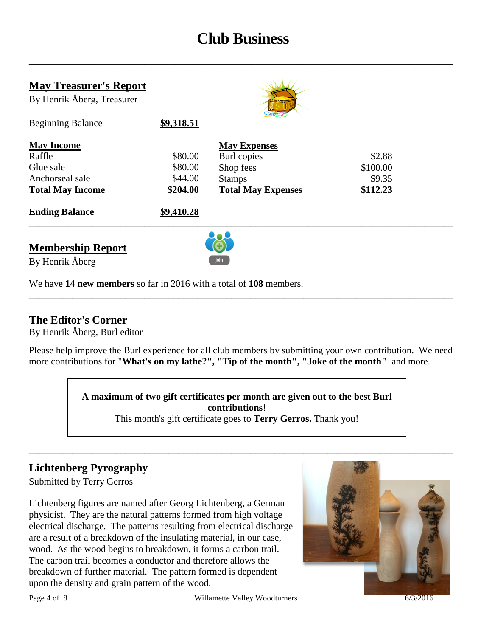# **Club Business**

\_\_\_\_\_\_\_\_\_\_\_\_\_\_\_\_\_\_\_\_\_\_\_\_\_\_\_\_\_\_\_\_\_\_\_\_\_\_\_\_\_\_\_\_\_\_\_\_\_\_\_\_\_\_\_\_\_\_\_\_\_\_\_\_\_\_\_\_\_\_\_\_\_\_\_\_\_\_\_\_\_\_\_\_\_\_\_\_

| <b>May Treasurer's Report</b><br>By Henrik Åberg, Treasurer |            |                           |          |  |  |
|-------------------------------------------------------------|------------|---------------------------|----------|--|--|
| <b>Beginning Balance</b>                                    | \$9,318.51 |                           |          |  |  |
| <b>May Income</b>                                           |            | <b>May Expenses</b>       |          |  |  |
| Raffle                                                      | \$80.00    | Burl copies               | \$2.88   |  |  |
| Glue sale                                                   | \$80.00    | Shop fees                 | \$100.00 |  |  |
| Anchorseal sale                                             | \$44.00    | <b>Stamps</b>             | \$9.35   |  |  |
| <b>Total May Income</b>                                     | \$204.00   | <b>Total May Expenses</b> | \$112.23 |  |  |
| <b>Ending Balance</b>                                       | \$9,410.28 |                           |          |  |  |
|                                                             |            |                           |          |  |  |

**Membership Report**



By Henrik Åberg

We have **14 new members** so far in 2016 with a total of **108** members.

### **The Editor's Corner**

By Henrik Åberg, Burl editor

Please help improve the Burl experience for all club members by submitting your own contribution. We need more contributions for "**What's on my lathe?", "Tip of the month", "Joke of the month"** and more.

\_\_\_\_\_\_\_\_\_\_\_\_\_\_\_\_\_\_\_\_\_\_\_\_\_\_\_\_\_\_\_\_\_\_\_\_\_\_\_\_\_\_\_\_\_\_\_\_\_\_\_\_\_\_\_\_\_\_\_\_\_\_\_\_\_\_\_\_\_\_\_\_\_\_\_\_\_\_\_\_\_\_\_\_\_\_\_\_

**A maximum of two gift certificates per month are given out to the best Burl contributions**!

This month's gift certificate goes to **Terry Gerros.** Thank you!

\_\_\_\_\_\_\_\_\_\_\_\_\_\_\_\_\_\_\_\_\_\_\_\_\_\_\_\_\_\_\_\_\_\_\_\_\_\_\_\_\_\_\_\_\_\_\_\_\_\_\_\_\_\_\_\_\_\_\_\_\_\_\_\_\_\_\_\_\_\_\_\_\_\_\_\_\_\_\_\_\_\_\_\_\_\_\_\_

# **Lichtenberg Pyrography**

Submitted by Terry Gerros

Lichtenberg figures are named after Georg Lichtenberg, a German physicist. They are the natural patterns formed from high voltage electrical discharge. The patterns resulting from electrical discharge are a result of a breakdown of the insulating material, in our case, wood. As the wood begins to breakdown, it forms a carbon trail. The carbon trail becomes a conductor and therefore allows the breakdown of further material. The pattern formed is dependent upon the density and grain pattern of the wood.

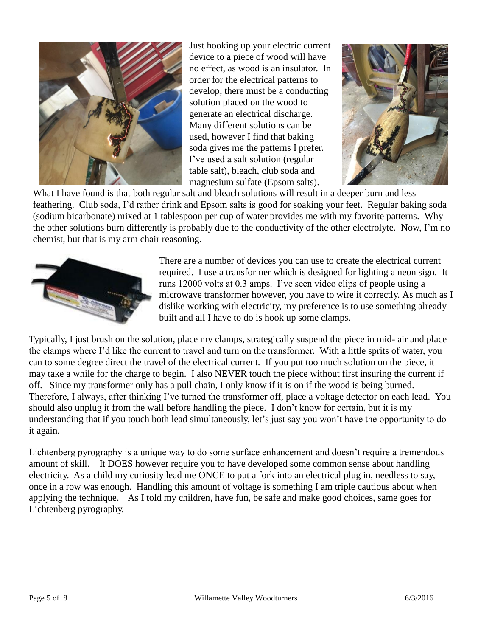

Just hooking up your electric current device to a piece of wood will have no effect, as wood is an insulator. In order for the electrical patterns to develop, there must be a conducting solution placed on the wood to generate an electrical discharge. Many different solutions can be used, however I find that baking soda gives me the patterns I prefer. I've used a salt solution (regular table salt), bleach, club soda and magnesium sulfate (Epsom salts).



What I have found is that both regular salt and bleach solutions will result in a deeper burn and less feathering. Club soda, I'd rather drink and Epsom salts is good for soaking your feet. Regular baking soda (sodium bicarbonate) mixed at 1 tablespoon per cup of water provides me with my favorite patterns. Why the other solutions burn differently is probably due to the conductivity of the other electrolyte. Now, I'm no chemist, but that is my arm chair reasoning.



There are a number of devices you can use to create the electrical current required. I use a transformer which is designed for lighting a neon sign. It runs 12000 volts at 0.3 amps. I've seen video clips of people using a microwave transformer however, you have to wire it correctly. As much as I dislike working with electricity, my preference is to use something already built and all I have to do is hook up some clamps.

Typically, I just brush on the solution, place my clamps, strategically suspend the piece in mid- air and place the clamps where I'd like the current to travel and turn on the transformer. With a little sprits of water, you can to some degree direct the travel of the electrical current. If you put too much solution on the piece, it may take a while for the charge to begin. I also NEVER touch the piece without first insuring the current if off. Since my transformer only has a pull chain, I only know if it is on if the wood is being burned. Therefore, I always, after thinking I've turned the transformer off, place a voltage detector on each lead. You should also unplug it from the wall before handling the piece. I don't know for certain, but it is my understanding that if you touch both lead simultaneously, let's just say you won't have the opportunity to do it again.

Lichtenberg pyrography is a unique way to do some surface enhancement and doesn't require a tremendous amount of skill. It DOES however require you to have developed some common sense about handling electricity. As a child my curiosity lead me ONCE to put a fork into an electrical plug in, needless to say, once in a row was enough. Handling this amount of voltage is something I am triple cautious about when applying the technique. As I told my children, have fun, be safe and make good choices, same goes for Lichtenberg pyrography.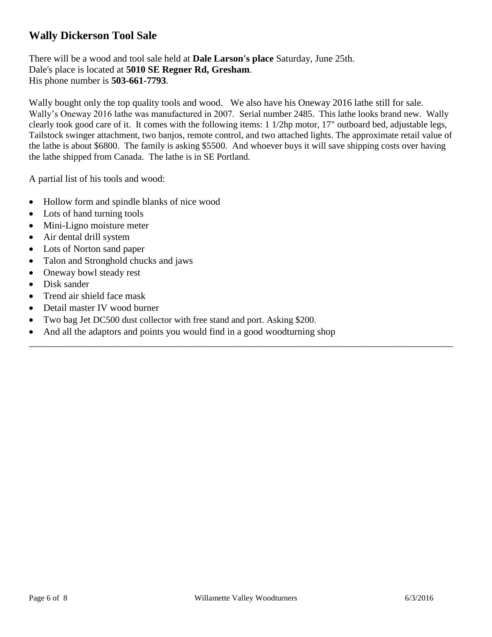## **Wally Dickerson Tool Sale**

There will be a wood and tool sale held at **Dale Larson's place** Saturday, June 25th. Dale's place is located at **5010 SE Regner Rd, Gresham**. His phone number is **503-661-7793**.

Wally bought only the top quality tools and wood. We also have his Oneway 2016 lathe still for sale. Wally's Oneway 2016 lathe was manufactured in 2007. Serial number 2485. This lathe looks brand new. Wally clearly took good care of it. It comes with the following items: 1 1/2hp motor, 17" outboard bed, adjustable legs, Tailstock swinger attachment, two banjos, remote control, and two attached lights. The approximate retail value of the lathe is about \$6800. The family is asking \$5500. And whoever buys it will save shipping costs over having the lathe shipped from Canada. The lathe is in SE Portland.

\_\_\_\_\_\_\_\_\_\_\_\_\_\_\_\_\_\_\_\_\_\_\_\_\_\_\_\_\_\_\_\_\_\_\_\_\_\_\_\_\_\_\_\_\_\_\_\_\_\_\_\_\_\_\_\_\_\_\_\_\_\_\_\_\_\_\_\_\_\_\_\_\_\_\_\_\_\_\_\_\_\_\_\_\_\_\_\_

A partial list of his tools and wood:

- Hollow form and spindle blanks of nice wood
- Lots of hand turning tools
- Mini-Ligno moisture meter
- Air dental drill system
- Lots of Norton sand paper
- Talon and Stronghold chucks and jaws
- Oneway bowl steady rest
- Disk sander
- Trend air shield face mask
- Detail master IV wood burner
- Two bag Jet DC500 dust collector with free stand and port. Asking \$200.
- And all the adaptors and points you would find in a good woodturning shop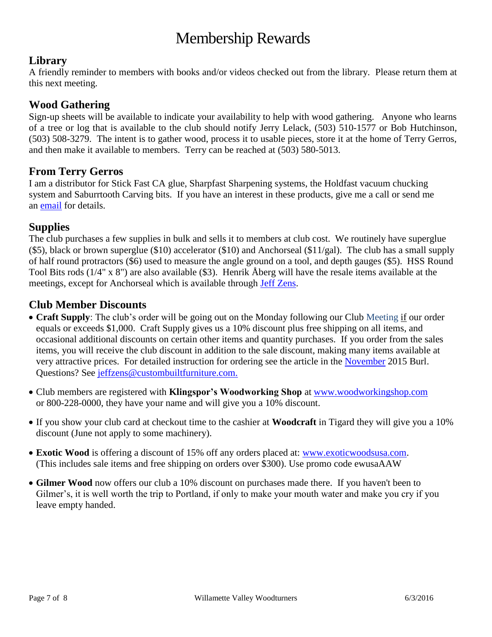# Membership Rewards

## **Library**

A friendly reminder to members with books and/or videos checked out from the library. Please return them at this next meeting.

#### **Wood Gathering**

Sign-up sheets will be available to indicate your availability to help with wood gathering. Anyone who learns of a tree or log that is available to the club should notify Jerry Lelack, (503) 510-1577 or Bob Hutchinson, (503) 508-3279. The intent is to gather wood, process it to usable pieces, store it at the home of Terry Gerros, and then make it available to members. Terry can be reached at (503) 580-5013.

#### **From Terry Gerros**

I am a distributor for Stick Fast CA glue, Sharpfast Sharpening systems, the Holdfast vacuum chucking system and Saburrtooth Carving bits. If you have an interest in these products, give me a call or send me an [email](mailto:gerrost@yahoo.com) for details.

#### **Supplies**

The club purchases a few supplies in bulk and sells it to members at club cost. We routinely have superglue (\$5), black or brown superglue (\$10) accelerator (\$10) and Anchorseal (\$11/gal). The club has a small supply of half round protractors (\$6) used to measure the angle ground on a tool, and depth gauges (\$5). HSS Round Tool Bits rods (1/4" x 8") are also available (\$3). Henrik Åberg will have the resale items available at the meetings, except for Anchorseal which is available through [Jeff Zens.](mailto:jszens@custombuiltfurniture.com)

#### **Club Member Discounts**

- **Craft Supply**: The club's order will be going out on the Monday following our Club Meeting if our order equals or exceeds \$1,000. Craft Supply gives us a 10% discount plus free shipping on all items, and occasional additional discounts on certain other items and quantity purchases. If you order from the sales items, you will receive the club discount in addition to the sale discount, making many items available at very attractive prices. For detailed instruction for ordering see the article in the [November](http://www.willamettevalleywoodturners.com/newsletters/2015_11_WVW_Newsletter.pdf) 2015 Burl. Questions? See [jeffzens@custombuiltfurniture.com.](mailto:jeffzens@custombuiltfurniture.com.)
- Club members are registered with **Klingspor's Woodworking Shop** at [www.woodworkingshop.com](http://www.woodworkingshop.com/)  or 800-228-0000, they have your name and will give you a 10% discount.
- If you show your club card at checkout time to the cashier at **Woodcraft** in Tigard they will give you a 10% discount (June not apply to some machinery).
- **Exotic Wood** is offering a discount of 15% off any orders placed at: [www.exoticwoodsusa.com.](http://www.exoticwoodsusa.com/) (This includes sale items and free shipping on orders over \$300). Use promo code ewusaAAW
- **Gilmer Wood** now offers our club a 10% discount on purchases made there. If you haven't been to Gilmer's, it is well worth the trip to Portland, if only to make your mouth water and make you cry if you leave empty handed.